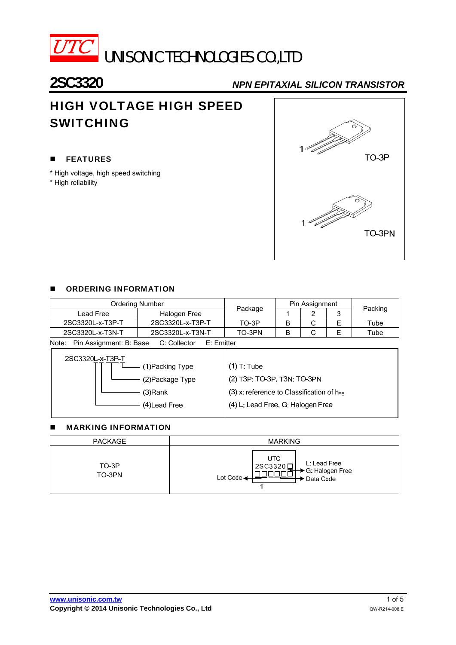

**2SC3320** *NPN EPITAXIAL SILICON TRANSISTOR*

# HIGH VOLTAGE HIGH SPEED SWITCHING

#### **FEATURES**

- \* High voltage, high speed switching
- \* High reliability



#### **DE ORDERING INFORMATION**

| Ordering Number                                                |                  |         | Pin Assignment |   |      |         |  |
|----------------------------------------------------------------|------------------|---------|----------------|---|------|---------|--|
| Lead Free                                                      | Halogen Free     | Package |                |   |      | Packing |  |
| 2SC3320L-x-T3P-T                                               | 2SC3320L-x-T3P-T | $TO-3P$ |                | С |      | Tube    |  |
| 2SC3320L-x-T3N-T                                               | TO-3PN           |         | С              |   | Tube |         |  |
| Pin Assignment: B: Base<br>C: Collector<br>Note:<br>E: Emitter |                  |         |                |   |      |         |  |

| 2SC3320L-x-T3P-T |                                                |
|------------------|------------------------------------------------|
| 1)Packing Type   | $(1)$ T: Tube                                  |
| (2) Package Type | (2) T3P: TO-3P, T3N: TO-3PN                    |
| (3)Rank          | (3) x: reference to Classification of $h_{FE}$ |
| (4)Lead Free     | (4) L: Lead Free, G: Halogen Free              |
|                  |                                                |

#### **MARKING INFORMATION**

| <b>PACKAGE</b>  | <b>MARKING</b>                                                                         |  |  |  |
|-----------------|----------------------------------------------------------------------------------------|--|--|--|
| TO-3P<br>TO-3PN | <b>UTC</b><br>L: Lead Free<br>2SC3320□<br>→ G: Halogen Free<br>→ Data Code<br>Lot Code |  |  |  |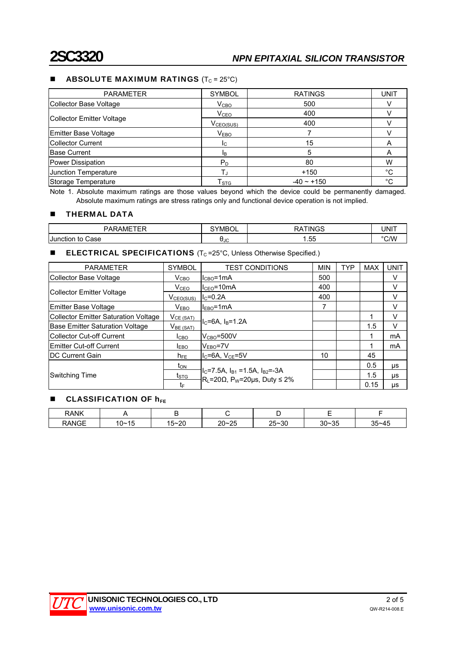#### **ABSOLUTE MAXIMUM RATINGS**  $(T_C = 25^{\circ}C)$

| <b>PARAMETER</b>          | <b>SYMBOL</b>             | <b>RATINGS</b>  | <b>UNIT</b> |
|---------------------------|---------------------------|-----------------|-------------|
| Collector Base Voltage    | V <sub>CBO</sub>          | 500             |             |
|                           | V <sub>CEO</sub>          | 400             |             |
| Collector Emitter Voltage | V <sub>CEO(SUS)</sub>     | 400             |             |
| Emitter Base Voltage      | V <sub>EBO</sub>          |                 |             |
| <b>Collector Current</b>  | $I_{\rm C}$               | 15              | A           |
| <b>IBase Current</b>      | <b>I</b> B                | 5               | A           |
| Power Dissipation         | $P_D$                     | 80              | w           |
| Junction Temperature      | $T_{\rm J}$               |                 | °C          |
| Storage Temperature       | $\mathsf{T}_{\text{STG}}$ | $-40 \sim +150$ | $\circ$     |

Note 1. Absolute maximum ratings are those values beyond which the device could be permanently damaged. Absolute maximum ratings are stress ratings only and functional device operation is not implied.

#### **THERMAL DATA**

| $\overline{\phantom{a}}$<br>^ ^<br>∧M' | ∵YMBO∟     | TINC<br>$\sim$ | INIT                 |
|----------------------------------------|------------|----------------|----------------------|
| Junction to<br>Case                    | <b>AJC</b> | --<br>55. I    | $\sim$ $\sim$ $\sim$ |

#### **ELECTRICAL SPECIFICATIONS** ( $T_c = 25^\circ$ C, Unless Otherwise Specified.)

| <b>PARAMETER</b>                            | <b>SYMBOL</b>               | <b>TEST CONDITIONS</b>                                                                                                   |     | <b>TYP</b> | <b>MAX</b> | <b>UNIT</b> |
|---------------------------------------------|-----------------------------|--------------------------------------------------------------------------------------------------------------------------|-----|------------|------------|-------------|
| Collector Base Voltage                      | $V_{\text{CBO}}$            | $ICBO=1mA$                                                                                                               | 500 |            |            | V           |
|                                             | V <sub>CEO</sub>            | $I_{CFO} = 10mA$                                                                                                         | 400 |            |            | v           |
| Collector Emitter Voltage                   | $V_{CEO(SUS)}$              | $I_{C} = 0.2A$                                                                                                           | 400 |            |            | V           |
| Emitter Base Voltage                        | $\mathsf{V}_{\mathsf{EBO}}$ | $IEBO=1mA$                                                                                                               | 7   |            |            | V           |
| <b>Collector Emitter Saturation Voltage</b> | $V_{CE (SAT)}$              |                                                                                                                          |     |            |            | v           |
| Base Emitter Saturation Voltage             | $V_{BE(SAT)}$               | $IC=6A$ . $IB=1.2A$                                                                                                      |     |            | 1.5        | V           |
| Collector Cut-off Current                   | I <sub>CBO</sub>            | $V_{CRO} = 500V$                                                                                                         |     |            |            | mA          |
| Emitter Cut-off Current                     | <b>IEBO</b>                 | $VEBO=7V$                                                                                                                |     |            |            | mA          |
| <b>IDC Current Gain</b>                     | $h_{FE}$                    | $I_{C}$ =6A, $V_{CF}$ =5V                                                                                                | 10  |            | 45         |             |
|                                             | t <sub>on</sub>             |                                                                                                                          |     |            | 0.5        | μs          |
| Switching Time                              | $t_{\text{STG}}$            | II <sub>C</sub> =7.5A, I <sub>B1</sub> =1.5A, I <sub>B2</sub> =-3A<br>$R_L = 20\Omega$ , P <sub>W</sub> =20µs, Duty ≤ 2% |     |            | 1.5        | μs          |
|                                             | tF.                         |                                                                                                                          |     |            | 0.15       | μs          |

#### $\blacksquare$  CLASSIFICATION OF  $h_{FF}$

| <b>RANK</b> |              |                             |                           |           |                                   |           |
|-------------|--------------|-----------------------------|---------------------------|-----------|-----------------------------------|-----------|
| RANGE       | 15<br>$10 -$ | م م<br>$15 -$<br>′∠∪<br>ں ا | - 25<br>ຳ∩∼ .<br>ΔU<br>∠J | $25 - 30$ | $\sim$ $\sim$<br>$30 - 35$<br>ั∪∿ | $35 - 45$ |

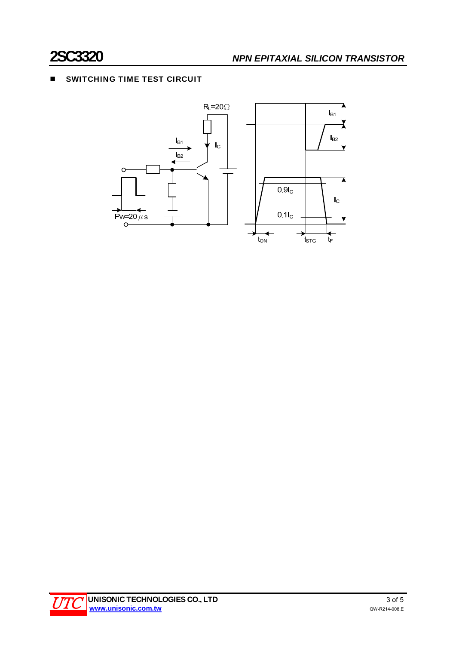### **SWITCHING TIME TEST CIRCUIT**



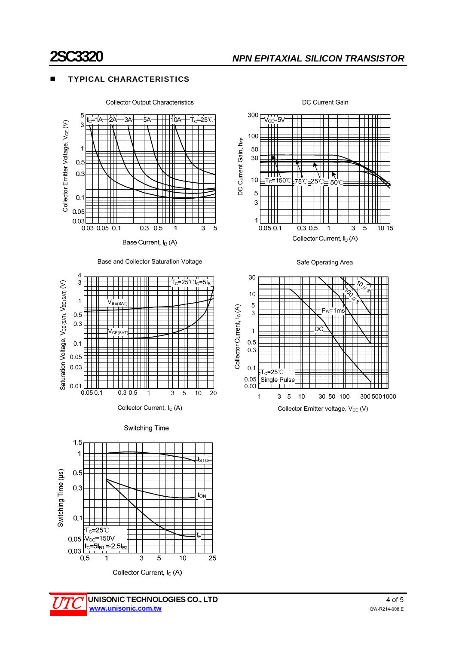$0.01<sub>l</sub>$ 

0.03

## **2SC3320** *NPN EPITAXIAL SILICON TRANSISTOR*

DC Current Gain

DC Current Gain, h<sub>FE</sub>

DC Current Gain, h<sub>FE</sub>

300

100

50 30

 $10$ 

5

3

 $\mathbf{1}$ 

 $V_{\rm C}$ К

#### TYPICAL CHARACTERISTICS



Base Current, I<sub>B</sub> (A)











0.05 0.1 0.3 0.5 5 10 20

1 3